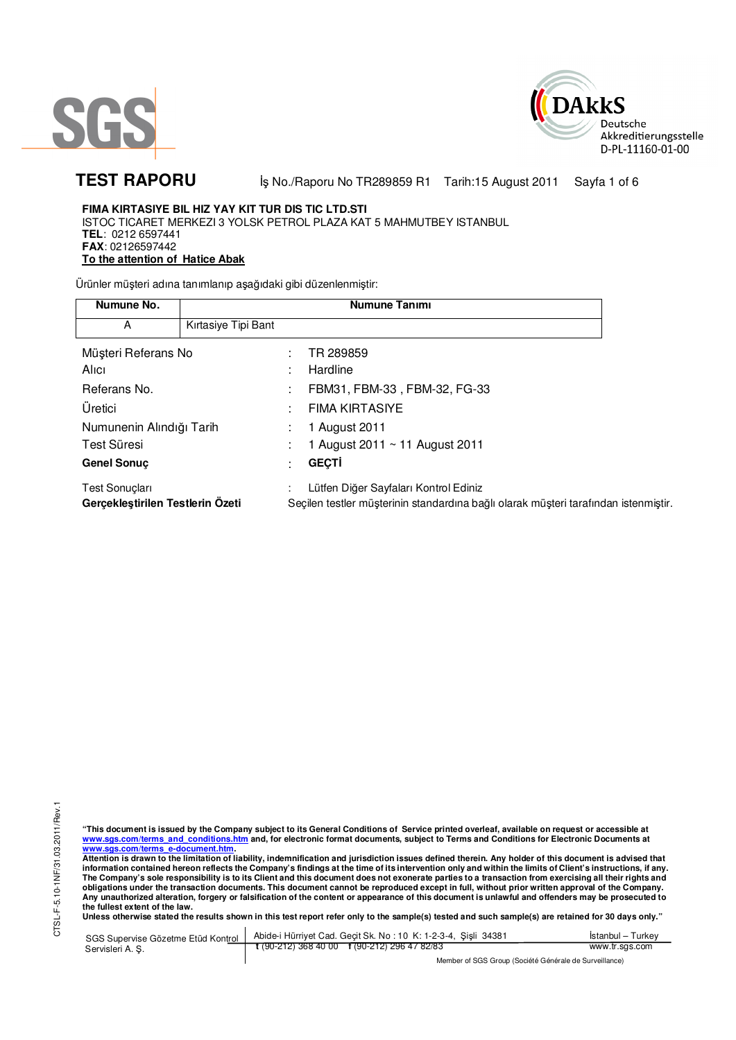



TEST RAPORU **By No./Raporu No TR289859 R1** Tarih:15 August 2011 Sayfa 1 of 6

### **FIMA KIRTASIYE BIL HIZ YAY KIT TUR DIS TIC LTD.STI**  ISTOC TICARET MERKEZI 3 YOLSK PETROL PLAZA KAT 5 MAHMUTBEY ISTANBUL **TEL**: 0212 6597441 **FAX**: 02126597442 **To the attention of Hatice Abak**

Ürünler müşteri adına tanımlanıp aşağıdaki gibi düzenlenmiştir:

| Numune No.                                         |                     | <b>Numune Tanımı</b>                                                                                                         |
|----------------------------------------------------|---------------------|------------------------------------------------------------------------------------------------------------------------------|
| A                                                  | Kırtasiye Tipi Bant |                                                                                                                              |
| Müşteri Referans No                                |                     | TR 289859                                                                                                                    |
| Alici                                              |                     | Hardline                                                                                                                     |
| Referans No.                                       |                     | FBM31, FBM-33, FBM-32, FG-33                                                                                                 |
| Üretici                                            |                     | <b>FIMA KIRTASIYE</b>                                                                                                        |
| Numunenin Alındığı Tarih                           |                     | 1 August 2011                                                                                                                |
| Test Süresi                                        |                     | 1 August 2011 $\sim$ 11 August 2011                                                                                          |
| <b>Genel Sonuc</b>                                 |                     | <b>GEÇTİ</b>                                                                                                                 |
| Test Sonuçları<br>Gerçekleştirilen Testlerin Ozeti |                     | Lütfen Diğer Sayfaları Kontrol Ediniz<br>Seçilen testler müşterinin standardına bağlı olarak müşteri tarafından istenmiştir. |

"This document is issued by the Company subject to its General Conditions of Service printed overleaf, available on request or accessible at<br>www.sgs.com/terms\_and\_conditions.htm\_and, for electronic format documents, subjec <mark>www.sgs.com/terms\_e-document.htm.</mark><br>Attention is drawn to the limitation of liability, indemnification and jurisdiction issues defined therein. Any holder of this document is advised that

information contained hereon reflects the Company's findings at the time of its intervention only and within the limits of Client's instructions, if any.<br>The Company's sole responsibility is to its Client and this document **obligations under the transaction documents. This document cannot be reproduced except in full, without prior written approval of the Company. Any unauthorized alteration, forgery or falsification of the content or appearance of this document is unlawful and offenders may be prosecuted to the fullest extent of the law.** 

**Unless otherwise stated the results shown in this test report refer only to the sample(s) tested and such sample(s) are retained for 30 days only."** 

SGS Supervise Gözetme Etüd Kontrol Servisleri A. Ş. Abide-i Hürriyet Cad. Geçit Sk. No : 10 K: 1-2-3-4, Şişli 34381 **t** (90-212) 368 40 00 **f** (90-212) 296 47 82/83 İstanbul – Turkey www.tr.sgs.com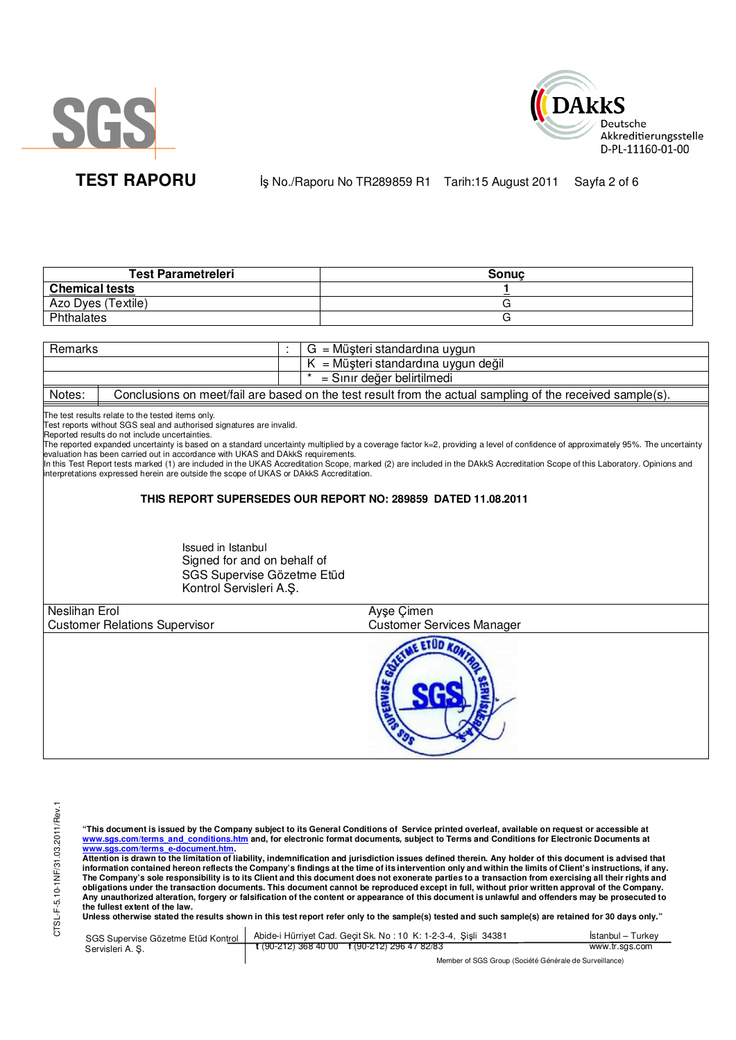



TEST RAPORU **By No./Raporu No TR289859 R1** Tarih:15 August 2011 Sayfa 2 of 6

| <b>Test Parametreleri</b> | Sonuc |
|---------------------------|-------|
| <b>Chemical tests</b>     |       |
| Azo Dyes (Textile)        |       |
| Phthalates                |       |

| Remarks       |                                                                                                                                                                                                                                                                                                                                                                                                               |  | $G = M\ddot{\mu}$ şteri standardına uygun                                                                                                                                                                                                                                                                                                                                                                                        |  |  |
|---------------|---------------------------------------------------------------------------------------------------------------------------------------------------------------------------------------------------------------------------------------------------------------------------------------------------------------------------------------------------------------------------------------------------------------|--|----------------------------------------------------------------------------------------------------------------------------------------------------------------------------------------------------------------------------------------------------------------------------------------------------------------------------------------------------------------------------------------------------------------------------------|--|--|
|               | $K = M\ddot{\mu}$ șteri standardına uygun değil                                                                                                                                                                                                                                                                                                                                                               |  |                                                                                                                                                                                                                                                                                                                                                                                                                                  |  |  |
|               |                                                                                                                                                                                                                                                                                                                                                                                                               |  | = Sınır değer belirtilmedi                                                                                                                                                                                                                                                                                                                                                                                                       |  |  |
| Notes:        |                                                                                                                                                                                                                                                                                                                                                                                                               |  | Conclusions on meet/fail are based on the test result from the actual sampling of the received sample(s).                                                                                                                                                                                                                                                                                                                        |  |  |
|               | The test results relate to the tested items only.<br>Test reports without SGS seal and authorised signatures are invalid.<br>Reported results do not include uncertainties.<br>evaluation has been carried out in accordance with UKAS and DAkkS requirements.<br>interpretations expressed herein are outside the scope of UKAS or DAkkS Accreditation.<br>Issued in Istanbul<br>Signed for and on behalf of |  | The reported expanded uncertainty is based on a standard uncertainty multiplied by a coverage factor k=2, providing a level of confidence of approximately 95%. The uncertainty<br>In this Test Report tests marked (1) are included in the UKAS Accreditation Scope, marked (2) are included in the DAkkS Accreditation Scope of this Laboratory. Opinions and<br>THIS REPORT SUPERSEDES OUR REPORT NO: 289859 DATED 11.08.2011 |  |  |
|               | SGS Supervise Gözetme Etüd<br>Kontrol Servisleri A.S.                                                                                                                                                                                                                                                                                                                                                         |  |                                                                                                                                                                                                                                                                                                                                                                                                                                  |  |  |
| Neslihan Erol |                                                                                                                                                                                                                                                                                                                                                                                                               |  | Ayse Cimen                                                                                                                                                                                                                                                                                                                                                                                                                       |  |  |
|               | <b>Customer Relations Supervisor</b>                                                                                                                                                                                                                                                                                                                                                                          |  | <b>Customer Services Manager</b>                                                                                                                                                                                                                                                                                                                                                                                                 |  |  |
|               |                                                                                                                                                                                                                                                                                                                                                                                                               |  | $ -$                                                                                                                                                                                                                                                                                                                                                                                                                             |  |  |

CTSL-F-5.10-1NF/31.03.2011/Rev.1 CTSL-F-5.10-1NF/31.03.2011/Rev.1

"This document is issued by the Company subject to its General Conditions of Service printed overleaf, available on request or accessible at<br>www.sgs.com/terms\_and\_conditions.htm\_and, for electronic format documents, subjec

<mark>www.sgs.com/terms\_e-document.htm.</mark><br>Attention is drawn to the limitation of liability, indemnification and jurisdiction issues defined therein. Any holder of this document is advised that information contained hereon reflects the Company's findings at the time of its intervention only and within the limits of Client's instructions, if any.<br>The Company's sole responsibility is to its Client and this document obligations under the transaction documents. This document cannot be reproduced except in full, without prior written approval of the Company.<br>Any unauthorized alteration, forgery or falsification of the content or appeara

**Unless otherwise stated the results shown in this test report refer only to the sample(s) tested and such sample(s) are retained for 30 days only."** 

| SGS Supervise Gözetme Etüd Kontrol | Abide-i Hürriyet Cad. Gecit Sk. No: 10 K: 1-2-3-4, Sisli 34381 | Istanbul – Turkev |  |  |
|------------------------------------|----------------------------------------------------------------|-------------------|--|--|
| Servisleri A. S.                   | $\frac{1}{2}$ (90-212) 368 40 00 f (90-212) 296 47 82/83       | www.tr.sgs.com    |  |  |
|                                    | Member of SGS Group (Société Générale de Surveillance)         |                   |  |  |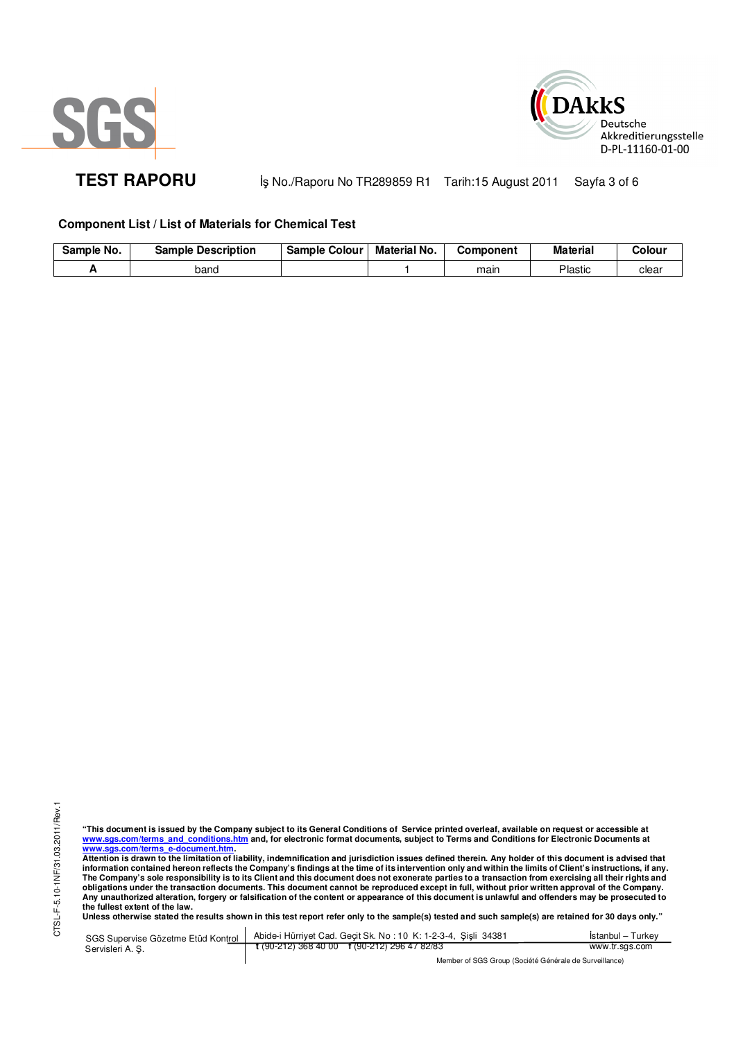



TEST RAPORU **By No./Raporu No TR289859 R1 Tarih:15 August 2011** Sayfa 3 of 6

# **Component List / List of Materials for Chemical Test**

| No.<br>Sample | <b>Sample Description</b> | Colour<br>Sample | <b>Material No.</b> | Component | <b>Material</b> | Colour |
|---------------|---------------------------|------------------|---------------------|-----------|-----------------|--------|
|               | band                      |                  |                     | mair      | <b>Plastic</b>  | clear  |

"This document is issued by the Company subject to its General Conditions of Service printed overleaf, available on request or accessible at<br>www.sgs.com/terms\_and\_conditions.htm\_and, for electronic format documents, subjec <mark>www.sgs.com/terms\_e-document.htm.</mark><br>Attention is drawn to the limitation of liability, indemnification and jurisdiction issues defined therein. Any holder of this document is advised that

information contained hereon reflects the Company's findings at the time of its intervention only and within the limits of Client's instructions, if any.<br>The Company's sole responsibility is to its Client and this document **obligations under the transaction documents. This document cannot be reproduced except in full, without prior written approval of the Company. Any unauthorized alteration, forgery or falsification of the content or appearance of this document is unlawful and offenders may be prosecuted to the fullest extent of the law.** 

**Unless otherwise stated the results shown in this test report refer only to the sample(s) tested and such sample(s) are retained for 30 days only."** 

SGS Supervise Gözetme Etüd Kontrol Servisleri A. Ş. Abide-i Hürriyet Cad. Geçit Sk. No : 10 K: 1-2-3-4, Şişli 34381 **t** (90-212) 368 40 00 **f** (90-212) 296 47 82/83 İstanbul – Turkey www.tr.sgs.com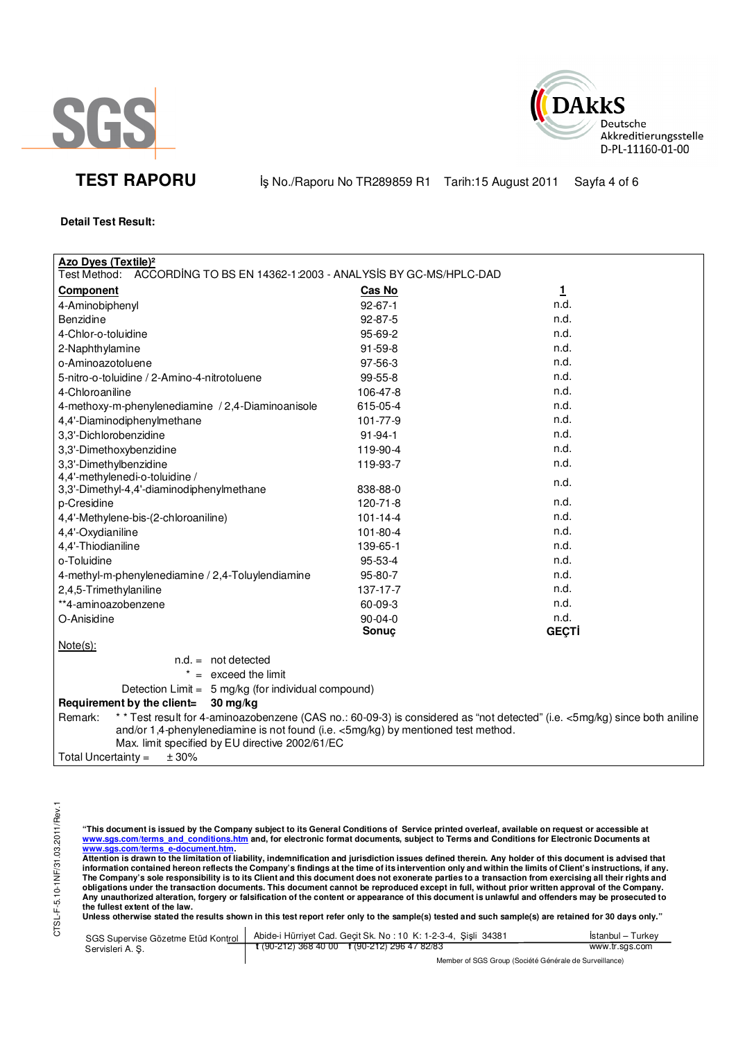



**TEST RAPORU** iş No./Raporu No TR289859 R1 Tarih:15 August 2011 Sayfa 4 of 6

## **Detail Test Result:**

| <b>Azo Dyes (Textile)<sup>2</sup></b>                                                                                                                                                                                                                                        |                |              |  |  |
|------------------------------------------------------------------------------------------------------------------------------------------------------------------------------------------------------------------------------------------------------------------------------|----------------|--------------|--|--|
| Test Method:<br>ACCORDING TO BS EN 14362-1:2003 - ANALYSIS BY GC-MS/HPLC-DAD                                                                                                                                                                                                 |                |              |  |  |
| <b>Component</b>                                                                                                                                                                                                                                                             | <b>Cas No</b>  | $\mathbf{1}$ |  |  |
| 4-Aminobiphenyl                                                                                                                                                                                                                                                              | $92 - 67 - 1$  | n.d.         |  |  |
| <b>Benzidine</b>                                                                                                                                                                                                                                                             | 92-87-5        | n.d.         |  |  |
| 4-Chlor-o-toluidine                                                                                                                                                                                                                                                          | 95-69-2        | n.d.         |  |  |
| 2-Naphthylamine                                                                                                                                                                                                                                                              | $91 - 59 - 8$  | n.d.         |  |  |
| o-Aminoazotoluene                                                                                                                                                                                                                                                            | 97-56-3        | n.d.         |  |  |
| 5-nitro-o-toluidine / 2-Amino-4-nitrotoluene                                                                                                                                                                                                                                 | 99-55-8        | n.d.         |  |  |
| 4-Chloroaniline                                                                                                                                                                                                                                                              | 106-47-8       | n.d.         |  |  |
| 4-methoxy-m-phenylenediamine / 2,4-Diaminoanisole                                                                                                                                                                                                                            | 615-05-4       | n.d.         |  |  |
| 4,4'-Diaminodiphenylmethane                                                                                                                                                                                                                                                  | 101-77-9       | n.d.         |  |  |
| 3,3'-Dichlorobenzidine                                                                                                                                                                                                                                                       | $91 - 94 - 1$  | n.d.         |  |  |
| 3,3'-Dimethoxybenzidine                                                                                                                                                                                                                                                      | 119-90-4       | n.d.         |  |  |
| 3,3'-Dimethylbenzidine                                                                                                                                                                                                                                                       | 119-93-7       | n.d.         |  |  |
| 4,4'-methylenedi-o-toluidine /                                                                                                                                                                                                                                               |                | n.d.         |  |  |
| 3,3'-Dimethyl-4,4'-diaminodiphenylmethane                                                                                                                                                                                                                                    | 838-88-0       |              |  |  |
| p-Cresidine                                                                                                                                                                                                                                                                  | 120-71-8       | n.d.         |  |  |
| 4,4'-Methylene-bis-(2-chloroaniline)                                                                                                                                                                                                                                         | $101 - 14 - 4$ | n.d.         |  |  |
| 4,4'-Oxydianiline                                                                                                                                                                                                                                                            | 101-80-4       | n.d.         |  |  |
| 4,4'-Thiodianiline                                                                                                                                                                                                                                                           | 139-65-1       | n.d.         |  |  |
| o-Toluidine                                                                                                                                                                                                                                                                  | 95-53-4        | n.d.         |  |  |
| 4-methyl-m-phenylenediamine / 2,4-Toluylendiamine                                                                                                                                                                                                                            | 95-80-7        | n.d.         |  |  |
| 2,4,5-Trimethylaniline                                                                                                                                                                                                                                                       | 137-17-7       | n.d.         |  |  |
| **4-aminoazobenzene                                                                                                                                                                                                                                                          | 60-09-3        | n.d.         |  |  |
| O-Anisidine                                                                                                                                                                                                                                                                  | 90-04-0        | n.d.         |  |  |
|                                                                                                                                                                                                                                                                              | Sonuç          | <b>GECTI</b> |  |  |
| $Note(s)$ :                                                                                                                                                                                                                                                                  |                |              |  |  |
| $n.d. = not detected$                                                                                                                                                                                                                                                        |                |              |  |  |
| $* =$ exceed the limit                                                                                                                                                                                                                                                       |                |              |  |  |
| Detection Limit = 5 mg/kg (for individual compound)                                                                                                                                                                                                                          |                |              |  |  |
| Requirement by the client=<br>$30 \,\mathrm{mg/kg}$                                                                                                                                                                                                                          |                |              |  |  |
| ** Test result for 4-aminoazobenzene (CAS no.: 60-09-3) is considered as "not detected" (i.e. <5mg/kg) since both aniline<br>Remark:<br>and/or 1,4-phenylenediamine is not found (i.e. <5mg/kg) by mentioned test method.<br>Max. limit specified by EU directive 2002/61/EC |                |              |  |  |
| ± 30%<br>Total Uncertainty $=$                                                                                                                                                                                                                                               |                |              |  |  |

"This document is issued by the Company subject to its General Conditions of Service printed overleaf, available on request or accessible at<br>www.sgs.com/terms\_and\_conditions.htm\_and, for electronic format documents, subjec

www.sgs.com/terms\_e-document.htm.<br>Attention is drawn to the limitation of liability, indemnification and jurisdiction issues defined therein. Any holder of this document is advised that<br>information contained hereon reflect obligations under the transaction documents. This document cannot be reproduced except in full, without prior written approval of the Company.<br>Any unauthorized alteration, forgery or falsification of the content or appeara

**Unless otherwise stated the results shown in this test report refer only to the sample(s) tested and such sample(s) are retained for 30 days only."** 

| SGS Supervise Gözetme Etüd Kontrol | Abide-i Hürriyet Cad. Gecit Sk. No: 10 K: 1-2-3-4, Sisli 34381       | Istanbul – Turkev |  |  |
|------------------------------------|----------------------------------------------------------------------|-------------------|--|--|
| Servisleri A. S.                   | $\frac{1}{2}$ (90-212) 368 40 00 $\frac{1}{2}$ (90-212) 296 47 82/83 | www.tr.sgs.com    |  |  |
|                                    | Member of SGS Group (Société Générale de Surveillance)               |                   |  |  |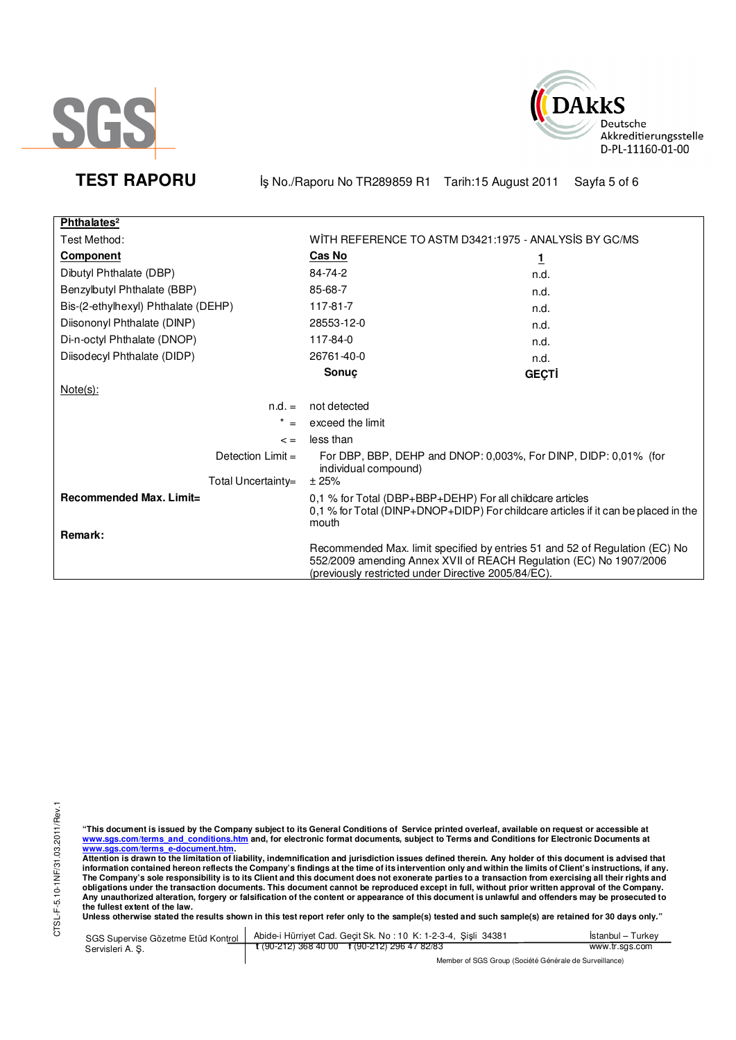



TEST RAPORU **By No./Raporu No TR289859 R1 Tarih:15 August 2011** Sayfa 5 of 6

| Phthalates <sup>2</sup>             |                                                                                                                                                                                                          |              |
|-------------------------------------|----------------------------------------------------------------------------------------------------------------------------------------------------------------------------------------------------------|--------------|
| Test Method:                        | WITH REFERENCE TO ASTM D3421:1975 - ANALYSIS BY GC/MS                                                                                                                                                    |              |
| <b>Component</b>                    | Cas No                                                                                                                                                                                                   | 1            |
| Dibutyl Phthalate (DBP)             | 84-74-2                                                                                                                                                                                                  | n.d.         |
| Benzylbutyl Phthalate (BBP)         | 85-68-7                                                                                                                                                                                                  | n.d.         |
| Bis-(2-ethylhexyl) Phthalate (DEHP) | 117-81-7                                                                                                                                                                                                 | n.d.         |
| Diisononyl Phthalate (DINP)         | 28553-12-0                                                                                                                                                                                               | n.d.         |
| Di-n-octyl Phthalate (DNOP)         | 117-84-0                                                                                                                                                                                                 | n.d.         |
| Diisodecyl Phthalate (DIDP)         | 26761-40-0                                                                                                                                                                                               | n.d.         |
|                                     | Sonuc                                                                                                                                                                                                    | <b>GEÇTİ</b> |
| $Note(s)$ :                         |                                                                                                                                                                                                          |              |
| $n.d. =$                            | not detected                                                                                                                                                                                             |              |
| $^\star$<br>$=$                     | exceed the limit                                                                                                                                                                                         |              |
| $\leq$ =                            | less than                                                                                                                                                                                                |              |
| Detection $Limit =$                 | For DBP, BBP, DEHP and DNOP: 0,003%, For DINP, DIDP: 0,01% (for<br>individual compound)                                                                                                                  |              |
| Total Uncertainty=                  | ±25%                                                                                                                                                                                                     |              |
| Recommended Max. Limit=             | 0,1 % for Total (DBP+BBP+DEHP) For all childcare articles<br>0,1 % for Total (DINP+DNOP+DIDP) For childcare articles if it can be placed in the<br>mouth                                                 |              |
| Remark:                             |                                                                                                                                                                                                          |              |
|                                     | Recommended Max. limit specified by entries 51 and 52 of Regulation (EC) No<br>552/2009 amending Annex XVII of REACH Regulation (EC) No 1907/2006<br>(previously restricted under Directive 2005/84/EC). |              |

"This document is issued by the Company subject to its General Conditions of Service printed overleaf, available on request or accessible at<br>www.sgs.com/terms\_and\_conditions.htm\_and, for electronic format documents, subjec

www.sgs.com/terms\_e-document.htm.<br>Attention is drawn to the limitation of liability, indemnification and jurisdiction issues defined therein. Any holder of this document is advised that<br>information contained hereon reflect obligations under the transaction documents. This document cannot be reproduced except in full, without prior written approval of the Company.<br>Any unauthorized alteration, forgery or falsification of the content or appeara

**Unless otherwise stated the results shown in this test report refer only to the sample(s) tested and such sample(s) are retained for 30 days only."** 

| SGS Supervise Gözetme Etüd Kontrol | Abide-i Hürriyet Cad. Gecit Sk. No: 10 K: 1-2-3-4, Sisli 34381 | Istanbul – Turkev |  |  |
|------------------------------------|----------------------------------------------------------------|-------------------|--|--|
| Servisleri A. S.                   | $\frac{1}{2}$ (90-212) 368 40 00 f (90-212) 296 47 82/83       | www.tr.sgs.com    |  |  |
|                                    | Member of SGS Group (Société Générale de Surveillance)         |                   |  |  |